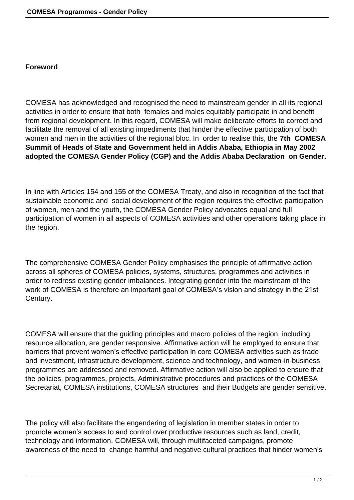## **Foreword**

COMESA has acknowledged and recognised the need to mainstream gender in all its regional activities in order to ensure that both females and males equitably participate in and benefit from regional development. In this regard, COMESA will make deliberate efforts to correct and facilitate the removal of all existing impediments that hinder the effective participation of both women and men in the activities of the regional bloc. In order to realise this, the **7th COMESA Summit of Heads of State and Government held in Addis Ababa, Ethiopia in May 2002 adopted the COMESA Gender Policy (CGP) and the Addis Ababa Declaration on Gender.**

In line with Articles 154 and 155 of the COMESA Treaty, and also in recognition of the fact that sustainable economic and social development of the region requires the effective participation of women, men and the youth, the COMESA Gender Policy advocates equal and full participation of women in all aspects of COMESA activities and other operations taking place in the region.

The comprehensive COMESA Gender Policy emphasises the principle of affirmative action across all spheres of COMESA policies, systems, structures, programmes and activities in order to redress existing gender imbalances. Integrating gender into the mainstream of the work of COMESA is therefore an important goal of COMESA's vision and strategy in the 21st Century.

COMESA will ensure that the guiding principles and macro policies of the region, including resource allocation, are gender responsive. Affirmative action will be employed to ensure that barriers that prevent women's effective participation in core COMESA activities such as trade and investment, infrastructure development, science and technology, and women-in-business programmes are addressed and removed. Affirmative action will also be applied to ensure that the policies, programmes, projects, Administrative procedures and practices of the COMESA Secretariat, COMESA institutions, COMESA structures and their Budgets are gender sensitive.

The policy will also facilitate the engendering of legislation in member states in order to promote women's access to and control over productive resources such as land, credit, technology and information. COMESA will, through multifaceted campaigns, promote awareness of the need to change harmful and negative cultural practices that hinder women's